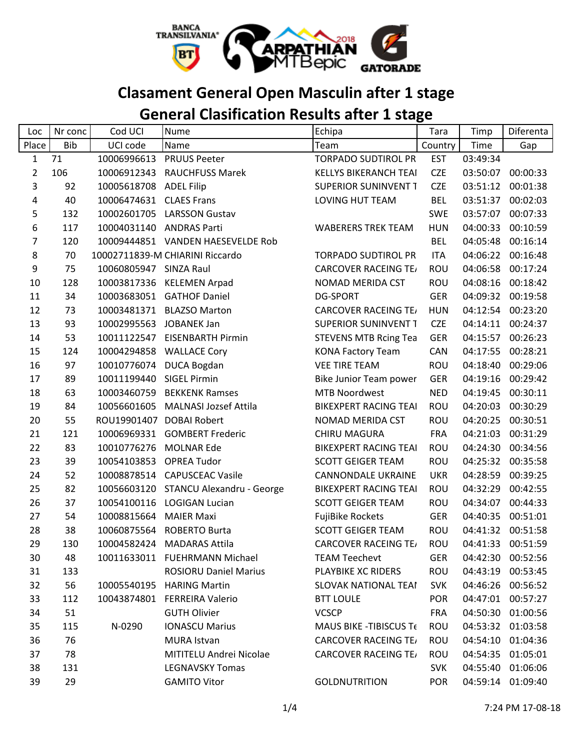

## **Clasament General Open Masculin after 1 stage**

## **General Clasification Results after 1 stage**

| Loc            | Nr conc    | Cod UCI                | <b>Nume</b>                       | Echipa                        | Tara       | Timp     | Diferenta         |
|----------------|------------|------------------------|-----------------------------------|-------------------------------|------------|----------|-------------------|
| Place          | <b>Bib</b> | UCI code               | Name                              | Team                          | Country    | Time     | Gap               |
| $\mathbf{1}$   | 71         | 10006996613            | <b>PRUUS Peeter</b>               | <b>TORPADO SUDTIROL PR</b>    | <b>EST</b> | 03:49:34 |                   |
| $\overline{2}$ | 106        | 10006912343            | <b>RAUCHFUSS Marek</b>            | <b>KELLYS BIKERANCH TEAI</b>  | <b>CZE</b> | 03:50:07 | 00:00:33          |
| 3              | 92         | 10005618708            | <b>ADEL Filip</b>                 | <b>SUPERIOR SUNINVENT T</b>   | <b>CZE</b> | 03:51:12 | 00:01:38          |
| 4              | 40         | 10006474631            | <b>CLAES Frans</b>                | LOVING HUT TEAM               | <b>BEL</b> | 03:51:37 | 00:02:03          |
| 5              | 132        | 10002601705            | <b>LARSSON Gustav</b>             |                               | <b>SWE</b> | 03:57:07 | 00:07:33          |
| 6              | 117        | 10004031140            | <b>ANDRAS Parti</b>               | <b>WABERERS TREK TEAM</b>     | <b>HUN</b> | 04:00:33 | 00:10:59          |
| 7              | 120        |                        | 10009444851 VANDEN HAESEVELDE Rob |                               | <b>BEL</b> | 04:05:48 | 00:16:14          |
| 8              | 70         |                        | 10002711839-M CHIARINI Riccardo   | <b>TORPADO SUDTIROL PR</b>    | <b>ITA</b> | 04:06:22 | 00:16:48          |
| 9              | 75         | 10060805947 SINZA Raul |                                   | <b>CARCOVER RACEING TE/</b>   | <b>ROU</b> | 04:06:58 | 00:17:24          |
| 10             | 128        | 10003817336            | <b>KELEMEN Arpad</b>              | NOMAD MERIDA CST              | <b>ROU</b> | 04:08:16 | 00:18:42          |
| 11             | 34         | 10003683051            | <b>GATHOF Daniel</b>              | <b>DG-SPORT</b>               | <b>GER</b> | 04:09:32 | 00:19:58          |
| 12             | 73         |                        | 10003481371 BLAZSO Marton         | <b>CARCOVER RACEING TE/</b>   | <b>HUN</b> | 04:12:54 | 00:23:20          |
| 13             | 93         | 10002995563            | <b>JOBANEK Jan</b>                | <b>SUPERIOR SUNINVENT T</b>   | <b>CZE</b> | 04:14:11 | 00:24:37          |
| 14             | 53         | 10011122547            | <b>EISENBARTH Pirmin</b>          | <b>STEVENS MTB Rcing Tea</b>  | <b>GER</b> | 04:15:57 | 00:26:23          |
| 15             | 124        | 10004294858            | <b>WALLACE Cory</b>               | <b>KONA Factory Team</b>      | CAN        | 04:17:55 | 00:28:21          |
| 16             | 97         | 10010776074            | DUCA Bogdan                       | <b>VEE TIRE TEAM</b>          | ROU        | 04:18:40 | 00:29:06          |
| 17             | 89         | 10011199440            | <b>SIGEL Pirmin</b>               | <b>Bike Junior Team power</b> | <b>GER</b> | 04:19:16 | 00:29:42          |
| 18             | 63         | 10003460759            | <b>BEKKENK Ramses</b>             | <b>MTB Noordwest</b>          | <b>NED</b> | 04:19:45 | 00:30:11          |
| 19             | 84         | 10056601605            | <b>MALNASI Jozsef Attila</b>      | <b>BIKEXPERT RACING TEAI</b>  | <b>ROU</b> | 04:20:03 | 00:30:29          |
| 20             | 55         | ROU19901407            | <b>DOBAI Robert</b>               | NOMAD MERIDA CST              | ROU        | 04:20:25 | 00:30:51          |
| 21             | 121        |                        | 10006969331 GOMBERT Frederic      | <b>CHIRU MAGURA</b>           | <b>FRA</b> | 04:21:03 | 00:31:29          |
| 22             | 83         | 10010776276            | <b>MOLNAR Ede</b>                 | <b>BIKEXPERT RACING TEAI</b>  | <b>ROU</b> | 04:24:30 | 00:34:56          |
| 23             | 39         | 10054103853            | <b>OPREA Tudor</b>                | <b>SCOTT GEIGER TEAM</b>      | ROU        | 04:25:32 | 00:35:58          |
| 24             | 52         | 10008878514            | <b>CAPUSCEAC Vasile</b>           | CANNONDALE UKRAINE            | <b>UKR</b> | 04:28:59 | 00:39:25          |
| 25             | 82         | 10056603120            | STANCU Alexandru - George         | <b>BIKEXPERT RACING TEAI</b>  | ROU        | 04:32:29 | 00:42:55          |
| 26             | 37         |                        | 10054100116 LOGIGAN Lucian        | <b>SCOTT GEIGER TEAM</b>      | ROU        | 04:34:07 | 00:44:33          |
| 27             | 54         | 10008815664            | <b>MAIER Maxi</b>                 | <b>FujiBike Rockets</b>       | <b>GER</b> | 04:40:35 | 00:51:01          |
| 28             | 38         | 10060875564            | <b>ROBERTO Burta</b>              | <b>SCOTT GEIGER TEAM</b>      | <b>ROU</b> | 04:41:32 | 00:51:58          |
| 29             | 130        | 10004582424            | <b>MADARAS Attila</b>             | <b>CARCOVER RACEING TE/</b>   | <b>ROU</b> | 04:41:33 | 00:51:59          |
| 30             | 48         |                        | 10011633011 FUEHRMANN Michael     | <b>TEAM Teechevt</b>          | <b>GER</b> | 04:42:30 | 00:52:56          |
| 31             | 133        |                        | <b>ROSIORU Daniel Marius</b>      | PLAYBIKE XC RIDERS            | ROU        |          | 04:43:19 00:53:45 |
| 32             | 56         | 10005540195            | <b>HARING Martin</b>              | <b>SLOVAK NATIONAL TEAI</b>   | <b>SVK</b> | 04:46:26 | 00:56:52          |
| 33             | 112        |                        | 10043874801 FERREIRA Valerio      | <b>BTT LOULE</b>              | <b>POR</b> |          | 04:47:01 00:57:27 |
| 34             | 51         |                        | <b>GUTH Olivier</b>               | <b>VCSCP</b>                  | <b>FRA</b> |          | 04:50:30 01:00:56 |
| 35             | 115        | N-0290                 | <b>IONASCU Marius</b>             | MAUS BIKE - TIBISCUS Te       | <b>ROU</b> |          | 04:53:32 01:03:58 |
| 36             | 76         |                        | MURA Istvan                       | <b>CARCOVER RACEING TE/</b>   | <b>ROU</b> |          | 04:54:10 01:04:36 |
| 37             | 78         |                        | MITITELU Andrei Nicolae           | <b>CARCOVER RACEING TE/</b>   | <b>ROU</b> | 04:54:35 | 01:05:01          |
| 38             | 131        |                        | <b>LEGNAVSKY Tomas</b>            |                               | <b>SVK</b> |          | 04:55:40 01:06:06 |
| 39             | 29         |                        | <b>GAMITO Vitor</b>               | <b>GOLDNUTRITION</b>          | <b>POR</b> |          | 04:59:14 01:09:40 |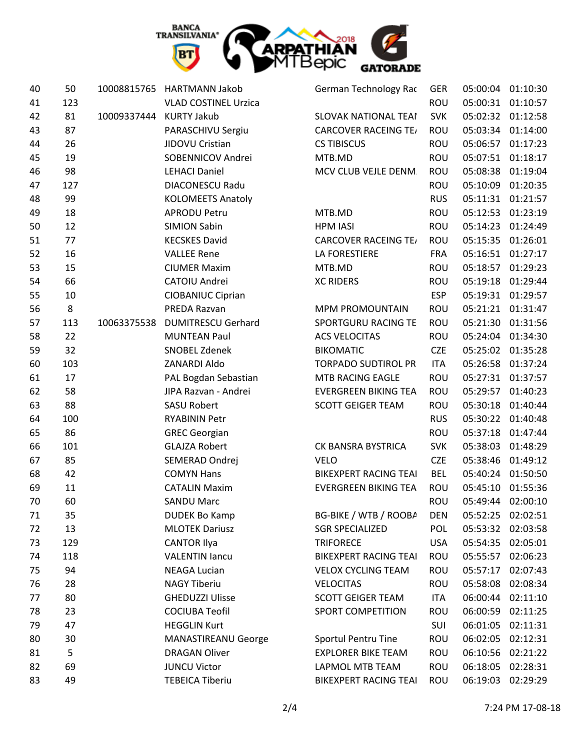

| 40 | 50  | 10008815765 | <b>HARTMANN Jakob</b>       | German Technology Rac        | GER        | 05:00:04 | 01:10:30          |
|----|-----|-------------|-----------------------------|------------------------------|------------|----------|-------------------|
| 41 | 123 |             | <b>VLAD COSTINEL Urzica</b> |                              | ROU        | 05:00:31 | 01:10:57          |
| 42 | 81  | 10009337444 | <b>KURTY Jakub</b>          | <b>SLOVAK NATIONAL TEAI</b>  | <b>SVK</b> |          | 05:02:32 01:12:58 |
| 43 | 87  |             | PARASCHIVU Sergiu           | <b>CARCOVER RACEING TE/</b>  | ROU        |          | 05:03:34 01:14:00 |
| 44 | 26  |             | JIDOVU Cristian             | <b>CS TIBISCUS</b>           | <b>ROU</b> | 05:06:57 | 01:17:23          |
| 45 | 19  |             | SOBENNICOV Andrei           | MTB.MD                       | ROU        | 05:07:51 | 01:18:17          |
| 46 | 98  |             | <b>LEHACI Daniel</b>        | MCV CLUB VEJLE DENM.         | ROU        | 05:08:38 | 01:19:04          |
| 47 | 127 |             | DIACONESCU Radu             |                              | <b>ROU</b> | 05:10:09 | 01:20:35          |
| 48 | 99  |             | <b>KOLOMEETS Anatoly</b>    |                              | <b>RUS</b> | 05:11:31 | 01:21:57          |
| 49 | 18  |             | <b>APRODU Petru</b>         | MTB.MD                       | ROU        | 05:12:53 | 01:23:19          |
| 50 | 12  |             | <b>SIMION Sabin</b>         | <b>HPM IASI</b>              | ROU        | 05:14:23 | 01:24:49          |
| 51 | 77  |             | <b>KECSKES David</b>        | <b>CARCOVER RACEING TE/</b>  | <b>ROU</b> | 05:15:35 | 01:26:01          |
| 52 | 16  |             | <b>VALLEE Rene</b>          | <b>LA FORESTIERE</b>         | <b>FRA</b> | 05:16:51 | 01:27:17          |
| 53 | 15  |             | <b>CIUMER Maxim</b>         | MTB.MD                       | <b>ROU</b> | 05:18:57 | 01:29:23          |
| 54 | 66  |             | CATOIU Andrei               | <b>XC RIDERS</b>             | <b>ROU</b> | 05:19:18 | 01:29:44          |
| 55 | 10  |             | <b>CIOBANIUC Ciprian</b>    |                              | <b>ESP</b> | 05:19:31 | 01:29:57          |
| 56 | 8   |             | PREDA Razvan                | <b>MPM PROMOUNTAIN</b>       | <b>ROU</b> | 05:21:21 | 01:31:47          |
| 57 | 113 | 10063375538 | <b>DUMITRESCU Gerhard</b>   | SPORTGURU RACING TE          | <b>ROU</b> | 05:21:30 | 01:31:56          |
| 58 | 22  |             | <b>MUNTEAN Paul</b>         | <b>ACS VELOCITAS</b>         | ROU        | 05:24:04 | 01:34:30          |
| 59 | 32  |             | SNOBEL Zdenek               | <b>BIKOMATIC</b>             | <b>CZE</b> | 05:25:02 | 01:35:28          |
| 60 | 103 |             | ZANARDI Aldo                | <b>TORPADO SUDTIROL PR</b>   | <b>ITA</b> | 05:26:58 | 01:37:24          |
| 61 | 17  |             | PAL Bogdan Sebastian        | MTB RACING EAGLE             | <b>ROU</b> | 05:27:31 | 01:37:57          |
| 62 | 58  |             | JIPA Razvan - Andrei        | <b>EVERGREEN BIKING TEA</b>  | <b>ROU</b> | 05:29:57 | 01:40:23          |
| 63 | 88  |             | <b>SASU Robert</b>          | <b>SCOTT GEIGER TEAM</b>     | ROU        |          | 05:30:18 01:40:44 |
| 64 | 100 |             | <b>RYABININ Petr</b>        |                              | <b>RUS</b> | 05:30:22 | 01:40:48          |
| 65 | 86  |             | <b>GREC Georgian</b>        |                              | <b>ROU</b> | 05:37:18 | 01:47:44          |
| 66 | 101 |             | <b>GLAJZA Robert</b>        | CK BANSRA BYSTRICA           | <b>SVK</b> | 05:38:03 | 01:48:29          |
| 67 | 85  |             | SEMERAD Ondrej              | <b>VELO</b>                  | <b>CZE</b> | 05:38:46 | 01:49:12          |
| 68 | 42  |             | <b>COMYN Hans</b>           | <b>BIKEXPERT RACING TEAI</b> | <b>BEL</b> |          | 05:40:24 01:50:50 |
| 69 | 11  |             | <b>CATALIN Maxim</b>        | <b>EVERGREEN BIKING TEA</b>  | <b>ROU</b> | 05:45:10 | 01:55:36          |
| 70 | 60  |             | <b>SANDU Marc</b>           |                              | <b>ROU</b> | 05:49:44 | 02:00:10          |
| 71 | 35  |             | <b>DUDEK Bo Kamp</b>        | BG-BIKE / WTB / ROOBA        | <b>DEN</b> | 05:52:25 | 02:02:51          |
| 72 | 13  |             | <b>MLOTEK Dariusz</b>       | <b>SGR SPECIALIZED</b>       | POL        | 05:53:32 | 02:03:58          |
| 73 | 129 |             | <b>CANTOR Ilya</b>          | <b>TRIFORECE</b>             | <b>USA</b> |          | 05:54:35 02:05:01 |
| 74 | 118 |             | <b>VALENTIN lancu</b>       | <b>BIKEXPERT RACING TEAI</b> | <b>ROU</b> | 05:55:57 | 02:06:23          |
| 75 | 94  |             | <b>NEAGA Lucian</b>         | <b>VELOX CYCLING TEAM</b>    | ROU        | 05:57:17 | 02:07:43          |
| 76 | 28  |             | <b>NAGY Tiberiu</b>         | <b>VELOCITAS</b>             | <b>ROU</b> | 05:58:08 | 02:08:34          |
| 77 | 80  |             | <b>GHEDUZZI Ulisse</b>      | <b>SCOTT GEIGER TEAM</b>     | ITA        | 06:00:44 | 02:11:10          |
| 78 | 23  |             | <b>COCIUBA Teofil</b>       | SPORT COMPETITION            | ROU        | 06:00:59 | 02:11:25          |
| 79 | 47  |             | <b>HEGGLIN Kurt</b>         |                              | SUI        | 06:01:05 | 02:11:31          |
| 80 | 30  |             | <b>MANASTIREANU George</b>  | Sportul Pentru Tine          | ROU        |          | 06:02:05 02:12:31 |
| 81 | 5   |             | <b>DRAGAN Oliver</b>        | <b>EXPLORER BIKE TEAM</b>    | <b>ROU</b> | 06:10:56 | 02:21:22          |
| 82 | 69  |             | <b>JUNCU Victor</b>         | LAPMOL MTB TEAM              | ROU        | 06:18:05 | 02:28:31          |
| 83 | 49  |             | <b>TEBEICA Tiberiu</b>      | <b>BIKEXPERT RACING TEAI</b> | ROU        | 06:19:03 | 02:29:29          |
|    |     |             |                             |                              |            |          |                   |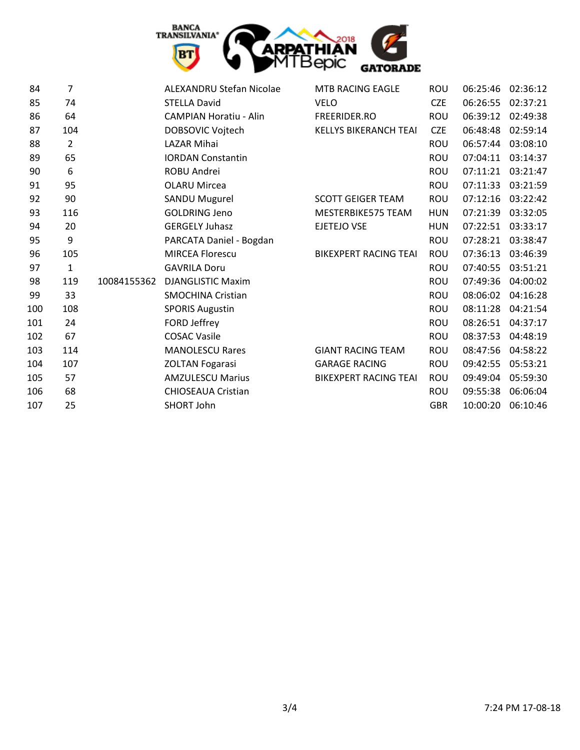

| 84  | 7              |             | <b>ALEXANDRU Stefan Nicolae</b> | MTB RACING EAGLE             | <b>ROU</b> | 06:25:46 | 02:36:12 |
|-----|----------------|-------------|---------------------------------|------------------------------|------------|----------|----------|
| 85  | 74             |             | <b>STELLA David</b>             | <b>VELO</b>                  | <b>CZE</b> | 06:26:55 | 02:37:21 |
| 86  | 64             |             | <b>CAMPIAN Horatiu - Alin</b>   | FREERIDER.RO                 | <b>ROU</b> | 06:39:12 | 02:49:38 |
| 87  | 104            |             | DOBSOVIC Vojtech                | <b>KELLYS BIKERANCH TEAI</b> | <b>CZE</b> | 06:48:48 | 02:59:14 |
| 88  | $\overline{2}$ |             | <b>LAZAR Mihai</b>              |                              | <b>ROU</b> | 06:57:44 | 03:08:10 |
| 89  | 65             |             | <b>IORDAN Constantin</b>        |                              | <b>ROU</b> | 07:04:11 | 03:14:37 |
| 90  | 6              |             | ROBU Andrei                     |                              | <b>ROU</b> | 07:11:21 | 03:21:47 |
| 91  | 95             |             | <b>OLARU Mircea</b>             |                              | <b>ROU</b> | 07:11:33 | 03:21:59 |
| 92  | 90             |             | <b>SANDU Mugurel</b>            | <b>SCOTT GEIGER TEAM</b>     | ROU        | 07:12:16 | 03:22:42 |
| 93  | 116            |             | <b>GOLDRING Jeno</b>            | MESTERBIKE575 TEAM           | <b>HUN</b> | 07:21:39 | 03:32:05 |
| 94  | 20             |             | <b>GERGELY Juhasz</b>           | <b>EJETEJO VSE</b>           | <b>HUN</b> | 07:22:51 | 03:33:17 |
| 95  | 9              |             | PARCATA Daniel - Bogdan         |                              | <b>ROU</b> | 07:28:21 | 03:38:47 |
| 96  | 105            |             | <b>MIRCEA Florescu</b>          | <b>BIKEXPERT RACING TEAI</b> | <b>ROU</b> | 07:36:13 | 03:46:39 |
| 97  | $\mathbf{1}$   |             | <b>GAVRILA Doru</b>             |                              | <b>ROU</b> | 07:40:55 | 03:51:21 |
| 98  | 119            | 10084155362 | <b>DJANGLISTIC Maxim</b>        |                              | <b>ROU</b> | 07:49:36 | 04:00:02 |
| 99  | 33             |             | <b>SMOCHINA Cristian</b>        |                              | <b>ROU</b> | 08:06:02 | 04:16:28 |
| 100 | 108            |             | <b>SPORIS Augustin</b>          |                              | <b>ROU</b> | 08:11:28 | 04:21:54 |
| 101 | 24             |             | FORD Jeffrey                    |                              | <b>ROU</b> | 08:26:51 | 04:37:17 |
| 102 | 67             |             | <b>COSAC Vasile</b>             |                              | <b>ROU</b> | 08:37:53 | 04:48:19 |
| 103 | 114            |             | <b>MANOLESCU Rares</b>          | <b>GIANT RACING TEAM</b>     | <b>ROU</b> | 08:47:56 | 04:58:22 |
| 104 | 107            |             | <b>ZOLTAN Fogarasi</b>          | <b>GARAGE RACING</b>         | <b>ROU</b> | 09:42:55 | 05:53:21 |
| 105 | 57             |             | <b>AMZULESCU Marius</b>         | <b>BIKEXPERT RACING TEAI</b> | <b>ROU</b> | 09:49:04 | 05:59:30 |
| 106 | 68             |             | <b>CHIOSEAUA Cristian</b>       |                              | <b>ROU</b> | 09:55:38 | 06:06:04 |
| 107 | 25             |             | SHORT John                      |                              | <b>GBR</b> | 10:00:20 | 06:10:46 |